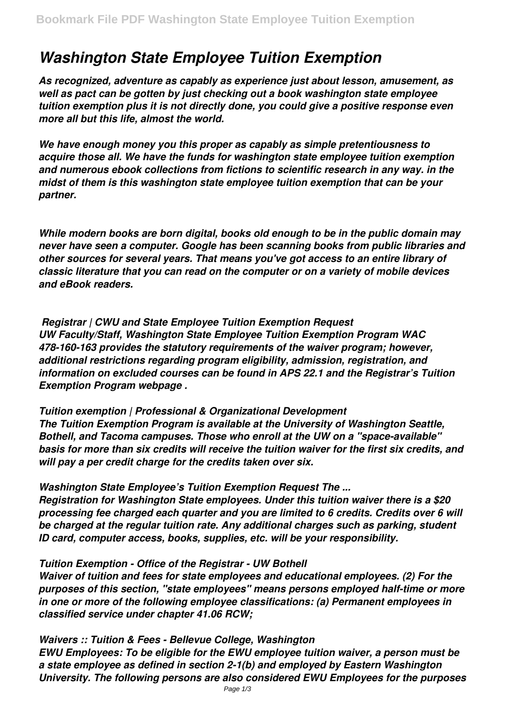# *Washington State Employee Tuition Exemption*

*As recognized, adventure as capably as experience just about lesson, amusement, as well as pact can be gotten by just checking out a book washington state employee tuition exemption plus it is not directly done, you could give a positive response even more all but this life, almost the world.*

*We have enough money you this proper as capably as simple pretentiousness to acquire those all. We have the funds for washington state employee tuition exemption and numerous ebook collections from fictions to scientific research in any way. in the midst of them is this washington state employee tuition exemption that can be your partner.*

*While modern books are born digital, books old enough to be in the public domain may never have seen a computer. Google has been scanning books from public libraries and other sources for several years. That means you've got access to an entire library of classic literature that you can read on the computer or on a variety of mobile devices and eBook readers.*

*Registrar | CWU and State Employee Tuition Exemption Request UW Faculty/Staff, Washington State Employee Tuition Exemption Program WAC 478-160-163 provides the statutory requirements of the waiver program; however, additional restrictions regarding program eligibility, admission, registration, and information on excluded courses can be found in APS 22.1 and the Registrar's Tuition Exemption Program webpage .*

*Tuition exemption | Professional & Organizational Development The Tuition Exemption Program is available at the University of Washington Seattle, Bothell, and Tacoma campuses. Those who enroll at the UW on a "space-available" basis for more than six credits will receive the tuition waiver for the first six credits, and will pay a per credit charge for the credits taken over six.*

*Washington State Employee's Tuition Exemption Request The ... Registration for Washington State employees. Under this tuition waiver there is a \$20 processing fee charged each quarter and you are limited to 6 credits. Credits over 6 will be charged at the regular tuition rate. Any additional charges such as parking, student ID card, computer access, books, supplies, etc. will be your responsibility.*

### *Tuition Exemption - Office of the Registrar - UW Bothell*

*Waiver of tuition and fees for state employees and educational employees. (2) For the purposes of this section, "state employees" means persons employed half-time or more in one or more of the following employee classifications: (a) Permanent employees in classified service under chapter 41.06 RCW;*

*Waivers :: Tuition & Fees - Bellevue College, Washington EWU Employees: To be eligible for the EWU employee tuition waiver, a person must be a state employee as defined in section 2-1(b) and employed by Eastern Washington University. The following persons are also considered EWU Employees for the purposes*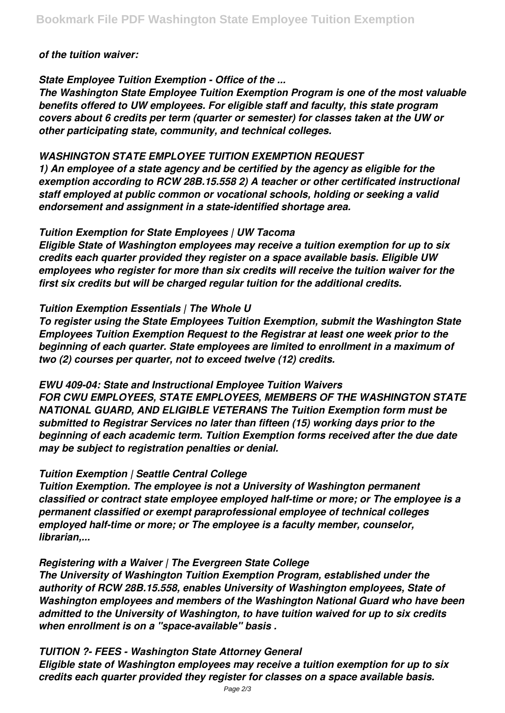### *of the tuition waiver:*

## *State Employee Tuition Exemption - Office of the ...*

*The Washington State Employee Tuition Exemption Program is one of the most valuable benefits offered to UW employees. For eligible staff and faculty, this state program covers about 6 credits per term (quarter or semester) for classes taken at the UW or other participating state, community, and technical colleges.*

## *WASHINGTON STATE EMPLOYEE TUITION EXEMPTION REQUEST*

*1) An employee of a state agency and be certified by the agency as eligible for the exemption according to RCW 28B.15.558 2) A teacher or other certificated instructional staff employed at public common or vocational schools, holding or seeking a valid endorsement and assignment in a state-identified shortage area.*

### *Tuition Exemption for State Employees | UW Tacoma*

*Eligible State of Washington employees may receive a tuition exemption for up to six credits each quarter provided they register on a space available basis. Eligible UW employees who register for more than six credits will receive the tuition waiver for the first six credits but will be charged regular tuition for the additional credits.*

## *Tuition Exemption Essentials | The Whole U*

*To register using the State Employees Tuition Exemption, submit the Washington State Employees Tuition Exemption Request to the Registrar at least one week prior to the beginning of each quarter. State employees are limited to enrollment in a maximum of two (2) courses per quarter, not to exceed twelve (12) credits.*

# *EWU 409-04: State and Instructional Employee Tuition Waivers*

*FOR CWU EMPLOYEES, STATE EMPLOYEES, MEMBERS OF THE WASHINGTON STATE NATIONAL GUARD, AND ELIGIBLE VETERANS The Tuition Exemption form must be submitted to Registrar Services no later than fifteen (15) working days prior to the beginning of each academic term. Tuition Exemption forms received after the due date may be subject to registration penalties or denial.*

# *Tuition Exemption | Seattle Central College*

*Tuition Exemption. The employee is not a University of Washington permanent classified or contract state employee employed half-time or more; or The employee is a permanent classified or exempt paraprofessional employee of technical colleges employed half-time or more; or The employee is a faculty member, counselor, librarian,...*

# *Registering with a Waiver | The Evergreen State College*

*The University of Washington Tuition Exemption Program, established under the authority of RCW 28B.15.558, enables University of Washington employees, State of Washington employees and members of the Washington National Guard who have been admitted to the University of Washington, to have tuition waived for up to six credits when enrollment is on a "space-available" basis .*

*TUITION ?- FEES - Washington State Attorney General Eligible state of Washington employees may receive a tuition exemption for up to six credits each quarter provided they register for classes on a space available basis.*